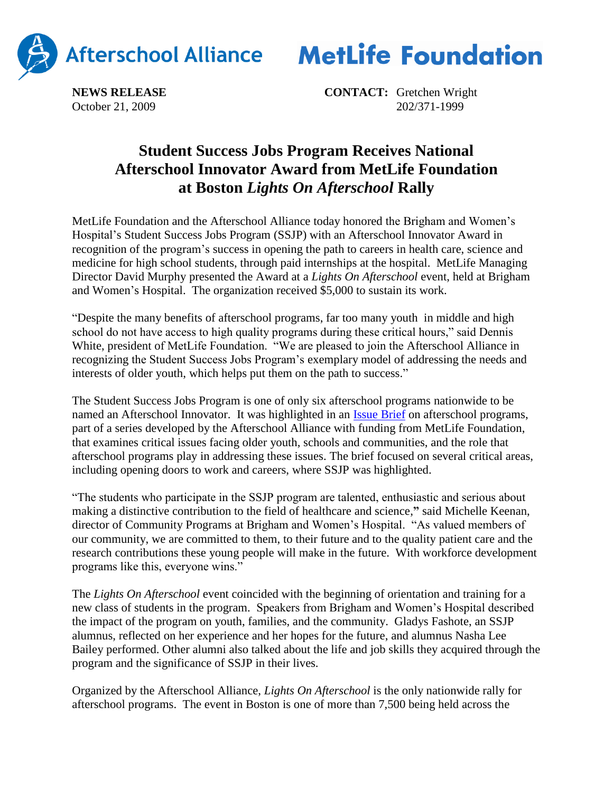



**NEWS RELEASE CONTACT:** Gretchen Wright October 21, 2009 202/371-1999

## **Student Success Jobs Program Receives National Afterschool Innovator Award from MetLife Foundation at Boston** *Lights On Afterschool* **Rally**

MetLife Foundation and the Afterschool Alliance today honored the Brigham and Women's Hospital's Student Success Jobs Program (SSJP) with an Afterschool Innovator Award in recognition of the program's success in opening the path to careers in health care, science and medicine for high school students, through paid internships at the hospital. MetLife Managing Director David Murphy presented the Award at a *Lights On Afterschool* event, held at Brigham and Women's Hospital. The organization received \$5,000 to sustain its work.

"Despite the many benefits of afterschool programs, far too many youth in middle and high school do not have access to high quality programs during these critical hours," said Dennis White, president of MetLife Foundation. "We are pleased to join the Afterschool Alliance in recognizing the Student Success Jobs Program's exemplary model of addressing the needs and interests of older youth, which helps put them on the path to success."

The Student Success Jobs Program is one of only six afterschool programs nationwide to be named an Afterschool Innovator. It was highlighted in an [Issue Brief](http://www.afterschoolalliance.org/issue_briefs/Workforce%20Brief%2036%20FINAL.pdf) on afterschool programs, part of a series developed by the Afterschool Alliance with funding from MetLife Foundation, that examines critical issues facing older youth, schools and communities, and the role that afterschool programs play in addressing these issues. The brief focused on several critical areas, including opening doors to work and careers, where SSJP was highlighted.

"The students who participate in the SSJP program are talented, enthusiastic and serious about making a distinctive contribution to the field of healthcare and science,**"** said Michelle Keenan, director of Community Programs at Brigham and Women's Hospital. "As valued members of our community, we are committed to them, to their future and to the quality patient care and the research contributions these young people will make in the future. With workforce development programs like this, everyone wins."

The *Lights On Afterschool* event coincided with the beginning of orientation and training for a new class of students in the program. Speakers from Brigham and Women's Hospital described the impact of the program on youth, families, and the community. Gladys Fashote, an SSJP alumnus, reflected on her experience and her hopes for the future, and alumnus Nasha Lee Bailey performed. Other alumni also talked about the life and job skills they acquired through the program and the significance of SSJP in their lives.

Organized by the Afterschool Alliance, *Lights On Afterschool* is the only nationwide rally for afterschool programs. The event in Boston is one of more than 7,500 being held across the